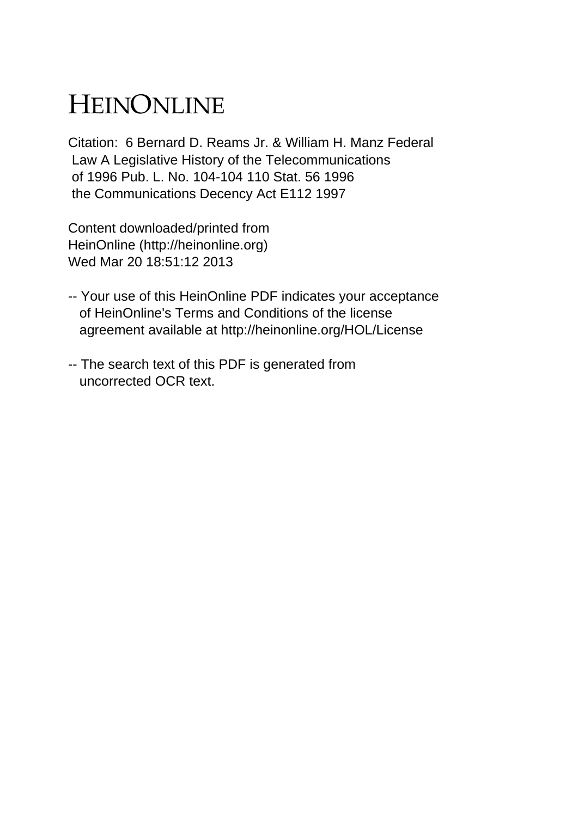# HEINONLINE

Citation: 6 Bernard D. Reams Jr. & William H. Manz Federal Law A Legislative History of the Telecommunications of 1996 Pub. L. No. 104-104 110 Stat. 56 1996 the Communications Decency Act E112 1997

Content downloaded/printed from HeinOnline (http://heinonline.org) Wed Mar 20 18:51:12 2013

- -- Your use of this HeinOnline PDF indicates your acceptance of HeinOnline's Terms and Conditions of the license agreement available at http://heinonline.org/HOL/License
- -- The search text of this PDF is generated from uncorrected OCR text.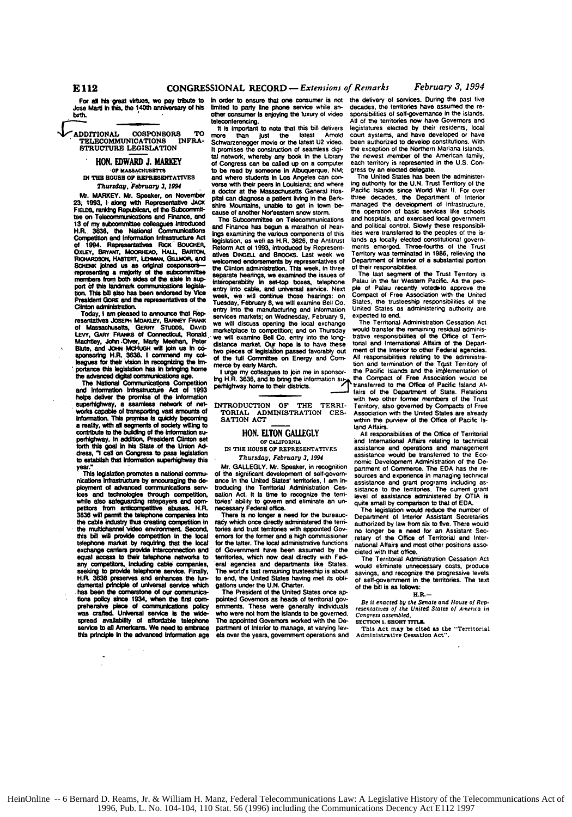FIELDS, ranking Republican, of the Subcommit- cause of another Nor'eastern snow storm. The operation of basic services like schools<br>tee on Telecommunications and Finance, and The Subcommittee on Telecommunications and hosp **13 of my subcommittee colleagues introduced and Finance has begun a marathon of hear- and political control. Slowly these responsibility of the set of the set of the set of the set of the set of the set of the set of the** The Theorem and The Trust Exponent Act of 1993, introduced by Represent-<br>
COLEY, BRYANT, MOORNEAD, HALL, BARTON, Reform Act of 1993, introduced by Represent-<br>
RICHARDSON, HASTERT, LEHMAN, GILLMOR, and although endorsements **in the endorsed by Vice and The Pressure and universal service Free Association with the Compact <b>Pressure** <br> **bon. This bill also has been endorsed by Vice entry, into cable, and universal service. Next plea of Palau rec** 

**decline the Burger and Connection**, and on Thursday would transfer the remaining residual administrative and **legarity** we will example be the **legarity** the **Machtley**, John Diver, Marty Meehan, Peter distance market. Ou

a reality, with all segments of society willing to the state of the control of the control of the control of the<br>Contribution of the formation submitted the control of the control of the control of the control of the contr

It is replaced that the by encouraging the de- ance in the United States' termiones, I am in-<br>playment of advanced communications serv- troducing the Termionial Administration Ces-sistance and grant programs including as-<br> with a say sanguarum ratio or particle abuses. H.R. necessary Federal office.<br> **the legislation would reduce the number** of the second term is and trust term of the burst of the multiple comparable in the second.<br> **the cab** exchange carters provide interconnection and of Government have been assumed by the ciated with that office.<br>
equal access to their telephone networks to territories, which now deal directly with Fed-<br>
any competitions, in H.R. 3636 preserves and enhances the fun- to end, the United States having met its obi- of self-government in the territories. The text<br>damental principle of universal service which gations under the U.N. Charter.<br>has been damental principle of universal service which gations under the U.N. Charter.<br>has been the cornerstone of our communica- The President of the United States once ap-

ADDITIONAL COSPONSORS TO miss than just the latest Amoid court systems, and have developed or have<br>TELECOMMUNICATIONS INFRA-Schwarzenegger movie of the latest Amoid court systems, and have developed or have<br>STRUCTURE LEGIS It promises the construction of seamless digi- the exception of the Northern Mariana Islands, tal network, whereby any book in the Library the newest member of the American family, HON. EDWARD J. MARKEY all network, whereby any book in the Library the relevest member of the intendent driling.<br>The mass of MARKEY of Congress can be called up on a computer each territory is represented in the U.S. Con-<br> **THE HOUSE OF MASSACHUSETTS to be read by someone in Albuquerque, NM;**<br>**EX THE BOUSE OF REPRESENTATIVES** and where students in Los Angeles can con-**IN A CONSERVERSE OF BEPRESENTATIVES** and where students in Los Angeles can con- The United States has been the administer-<br>**Thursday, February 3, 1994** verse with their peers in Louisiana; and where ing authority for the *Thursday, February* **3,** *19M4* verse with their peers In Louisiana; and where **ing** authority for the **U.N.** Trust Territory **of** the Thursday, February 3, 1994<br>M. MARKEY. Mr. Speaker, on November a doctor at the Massachusetts General Hos-Pacific Islands since World War II. For over<br>23, 1993, I alone and the Massachusetts General Hos-Pacific Islands sinc **pital can diagnose a patient living in the Berk-**<br>shire Mountains, unable to get in town be-

H.R. 3838, the National Communications and Finance has begun a maturity from the precedition and information infrastructure Act ings examining the various components of this files were transferred to the peoples of the isrepresenting a majority of the subcommittee the uniton euromanism on the state of the last segment of the Trust Territory is<br>Internbers from both sides of the abste in sup-threoperability in set-top boxes, telephone Palau President Gone and the representatives of the Truesday, February 8, we will camine Bell Co. States, the trusteeship responsibilities of the Trustan and information. The control of the manufacturing and information. United messeurities uncertainty and the will discuss opening the local exchange. The Territorial Administration Cessation Act<br>LEVY, GARY FRANKS of Connecticut, Ronald was will examine Bell Co. entry into the station particle and

**This is a national correct a national correct promocent of self-govern-** ance in the United States' territories, I am in-

racy which once directly administered the territories and trust territories with appointed Gov-

**done policy Since** 1934, when the **first** corn- pointed Governors **as** heads of territorial gov- Be *it* enacted **by** the Senate **and** *House of Rip*erifferent approximation in the stands to be governed. Congress assembled,<br> **IS a** *islands* to be governed. Congress assembled,<br> **The appointed Governors worked with the De-BECTION 1. BHORT T** spread availability of affordable telephone. The appointed Governors worked with the De- section i. SHORT TTTLE<br>Service to all Americans. We need to embrace partment of Interior to manage, at varying lev- This Act may be c **service to all Americans. We need to embrace** partment of Interior to manage, at varying leverally a fact may be cited as the "Territorial dust and a different of the advanced information age els over the years, governmen

teleconferencing.<br> **All of the territories now have Governors and<br>
It is important to note that this bill delivers legislatures elected by their residents, local t is** Important to note **that** this bill delivers legislatures elected **by** their residents, local

portance this legislation has in bringing home<br>the advanced digital communications age.<br>The National Communications age.<br>The National Communications of the districts and the information sure the Compact of Free Association The National Communications Competition "symmers" perhaps to their districts.<br>In the Department of State of the State Relations in the perhaps of the Difference of the Difference of the St<br>Helps deliver the promise of the superhighway, a seamless network of net- INTRODUCTION OF THE TERRI- Territory also governed by Compacts of Fre<br>works capable of transporting vast amounts of TORIAL ADMINISTRATION CES-Association with the United States are

form this goal in his State of the Union Ad-<br>to the Union Ad-<br>the state and operations and management<br>and the state would be transferred to the Eco-<br>and the state would be transferred to the Eco-<br>the state would be transfe year." I can be computed to establish that information superhighway this the stable would be transfered to extend<br>year." This position of the De-<br>This legislation promotes a national commu- of the significant development o nications infrastructure by encouraging the de-<br>ployment of advanced communications serv- troducing the Territorial Administration Ces-sistance and grant programs including as-<br>ployment of advanced communications serv- tro quite small by comparison to that of EDA.<br>The legislation would reduce the number of

**3838 The telephone cocessary Federal office.**<br>The telephone would reduce the number of<br>There is no longer a need for the bureauc- Department of *Interior* Assistant Secretaries<br>The proportion and the secretaries of the au emors for the former and a high commissioner rivitally of the Office of Territorial and Inter-<br>for the latter. The local administrative functions craticized Affairs and most other positions asso-<br>of Government have been as

any **competitors, including cable companies, eral agencies and departments like States. would eliminate unnecessary costs, produce<br>
<b>Incurse the state of the state of the state of the word's last remaining trusteeship is a** The world's last remaining trusteeship is about savings, and recognize the progressive levels

*Be it enacted by the Senate and House of Representatives of the United States of America in*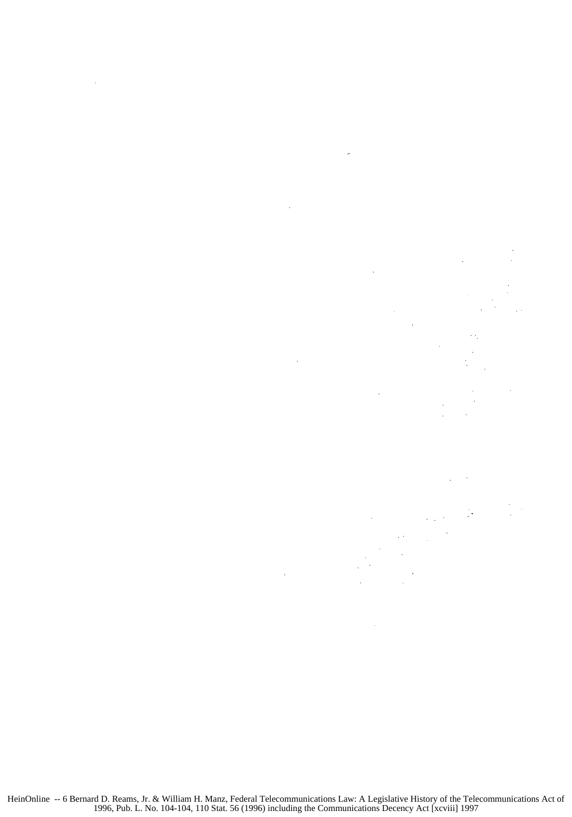

HeinOnline -- 6 Bernard D. Reams, Jr. & William H. Manz, Federal Telecommunications Law: A Legislative History of the Telecommunications Act of 1996, Pub. L. No. 104-104, 110 Stat. 56 (1996) including the Communications Decency Act [xcviii] 1997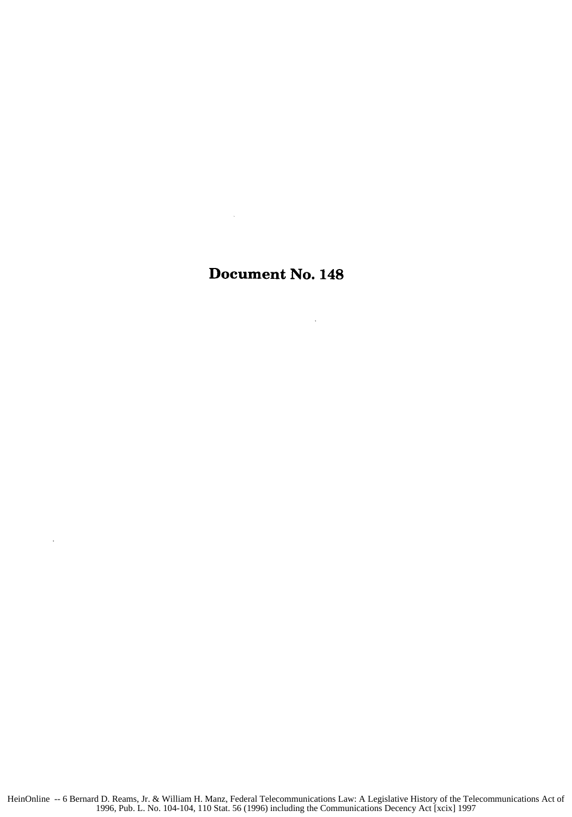## Document No. **148**

 $\Delta \sim 1$ 

 $\sim 10^7$ 

 $\sim$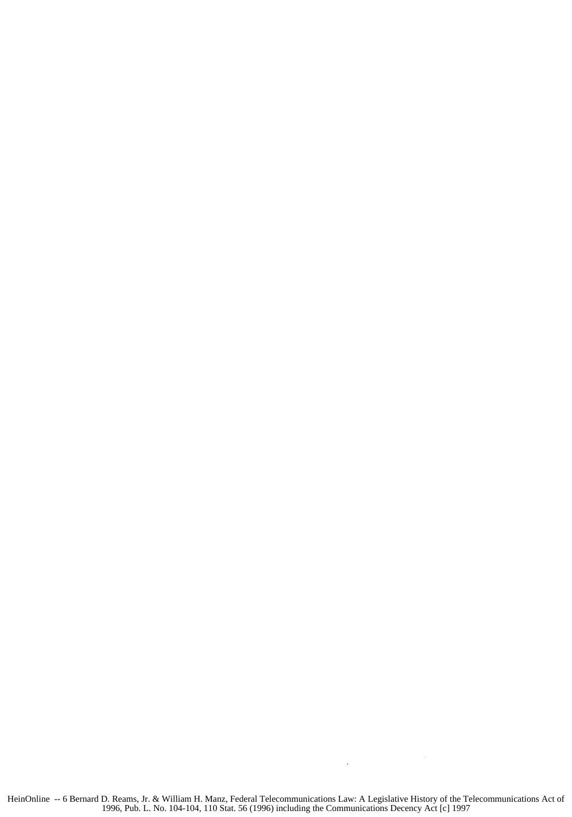HeinOnline -- 6 Bernard D. Reams, Jr. & William H. Manz, Federal Telecommunications Law: A Legislative History of the Telecommunications Act of 1996, Pub. L. No. 104-104, 110 Stat. 56 (1996) including the Communications Decency Act [c] 1997

 $\bar{z}$